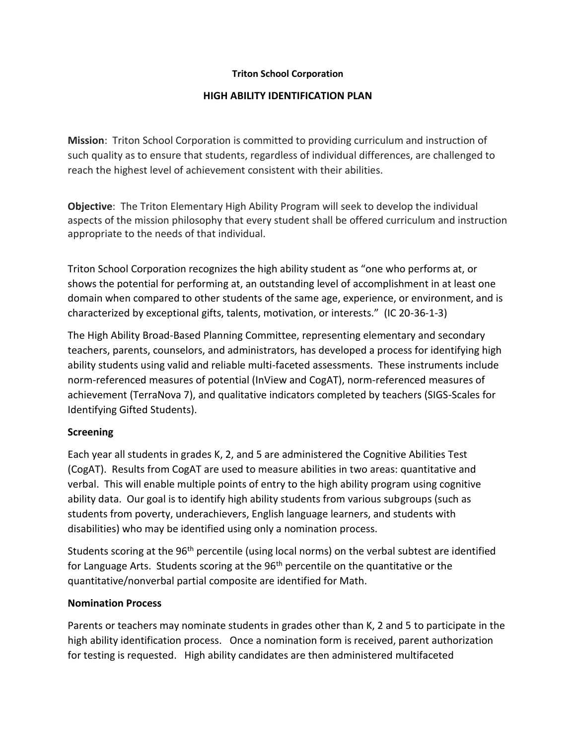### **Triton School Corporation**

### **HIGH ABILITY IDENTIFICATION PLAN**

**Mission**: Triton School Corporation is committed to providing curriculum and instruction of such quality as to ensure that students, regardless of individual differences, are challenged to reach the highest level of achievement consistent with their abilities.

**Objective**: The Triton Elementary High Ability Program will seek to develop the individual aspects of the mission philosophy that every student shall be offered curriculum and instruction appropriate to the needs of that individual.

Triton School Corporation recognizes the high ability student as "one who performs at, or shows the potential for performing at, an outstanding level of accomplishment in at least one domain when compared to other students of the same age, experience, or environment, and is characterized by exceptional gifts, talents, motivation, or interests." (IC 20-36-1-3)

The High Ability Broad-Based Planning Committee, representing elementary and secondary teachers, parents, counselors, and administrators, has developed a process for identifying high ability students using valid and reliable multi-faceted assessments. These instruments include norm-referenced measures of potential (InView and CogAT), norm-referenced measures of achievement (TerraNova 7), and qualitative indicators completed by teachers (SIGS-Scales for Identifying Gifted Students).

# **Screening**

Each year all students in grades K, 2, and 5 are administered the Cognitive Abilities Test (CogAT). Results from CogAT are used to measure abilities in two areas: quantitative and verbal. This will enable multiple points of entry to the high ability program using cognitive ability data. Our goal is to identify high ability students from various subgroups (such as students from poverty, underachievers, English language learners, and students with disabilities) who may be identified using only a nomination process.

Students scoring at the 96<sup>th</sup> percentile (using local norms) on the verbal subtest are identified for Language Arts. Students scoring at the  $96<sup>th</sup>$  percentile on the quantitative or the quantitative/nonverbal partial composite are identified for Math.

# **Nomination Process**

Parents or teachers may nominate students in grades other than K, 2 and 5 to participate in the high ability identification process. Once a nomination form is received, parent authorization for testing is requested. High ability candidates are then administered multifaceted